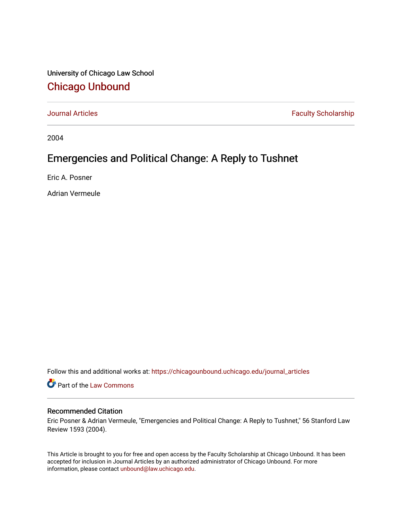University of Chicago Law School [Chicago Unbound](https://chicagounbound.uchicago.edu/)

[Journal Articles](https://chicagounbound.uchicago.edu/journal_articles) **Faculty Scholarship Faculty Scholarship** 

2004

### Emergencies and Political Change: A Reply to Tushnet

Eric A. Posner

Adrian Vermeule

Follow this and additional works at: [https://chicagounbound.uchicago.edu/journal\\_articles](https://chicagounbound.uchicago.edu/journal_articles?utm_source=chicagounbound.uchicago.edu%2Fjournal_articles%2F1789&utm_medium=PDF&utm_campaign=PDFCoverPages) 

Part of the [Law Commons](http://network.bepress.com/hgg/discipline/578?utm_source=chicagounbound.uchicago.edu%2Fjournal_articles%2F1789&utm_medium=PDF&utm_campaign=PDFCoverPages)

#### Recommended Citation

Eric Posner & Adrian Vermeule, "Emergencies and Political Change: A Reply to Tushnet," 56 Stanford Law Review 1593 (2004).

This Article is brought to you for free and open access by the Faculty Scholarship at Chicago Unbound. It has been accepted for inclusion in Journal Articles by an authorized administrator of Chicago Unbound. For more information, please contact [unbound@law.uchicago.edu](mailto:unbound@law.uchicago.edu).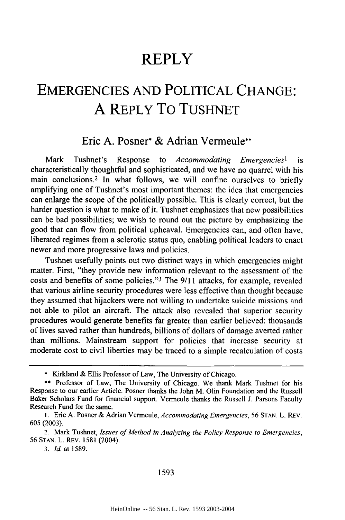## **REPLY**

# **EMERGENCIES AND** POLITICAL **CHANGE: A** REPLY To TUSHNET

### Eric **A.** Posner\* **&** Adrian Vermeule\*\*

Mark Tushnet's Response to *Accommodating Emergencies'* is characteristically thoughtful and sophisticated, and we have no quarrel with his main conclusions.2 In what follows, we will confine ourselves to briefly amplifying one of Tushnet's most important themes: the idea that emergencies can enlarge the scope of the politically possible. This is clearly correct, but the harder question is what to make of it. Tushnet emphasizes that new possibilities can be bad possibilities; we wish to round out the picture by emphasizing the good that can flow from political upheaval. Emergencies can, and often have, liberated regimes from a sclerotic status quo, enabling political leaders to enact newer and more progressive laws and policies.

Tushnet usefully points out two distinct ways in which emergencies might matter. First, "they provide new information relevant to the assessment of the costs and benefits of some policies."'3 The 9/11 attacks, for example, revealed that various airline security procedures were less effective than thought because they assumed that hijackers were not willing to undertake suicide missions and not able to pilot an aircraft. The attack also revealed that superior security procedures would generate benefits far greater than earlier believed: thousands of lives saved rather than hundreds, billions of dollars of damage averted rather than millions. Mainstream support for policies that increase security at moderate cost to civil liberties may be traced to a simple recalculation of costs

<sup>\*</sup> Kirkland & Ellis Professor of Law, The University of Chicago.

<sup>\*\*</sup> Professor of Law, The University of Chicago. We thank Mark Tushnet for his Response to our earlier Article. Posner thanks the John M. Olin Foundation and the Russell Baker Scholars Fund for financial support. Vermeule thanks the Russell J. Parsons Faculty Research Fund for the same.

<sup>1.</sup> Eric A. Posner & Adrian Vermeule, *Accommodating Emergencies,* 56 **STAN.** L. REv. 605 (2003).

<sup>2.</sup> Mark Tushnet, *Issues of Method in Analyzing the Policy Response to Emergencies,* 56 STAN. L. REv. 1581 (2004).

*<sup>3.</sup> Id.* at 1589.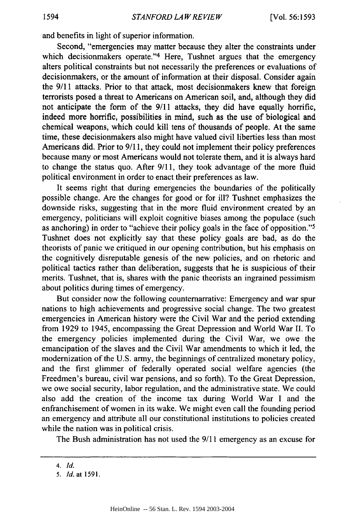and benefits in light of superior information.

Second, "emergencies may matter because they alter the constraints under which decisionmakers operate."<sup>4</sup> Here, Tushnet argues that the emergency alters political constraints but not necessarily the preferences or evaluations of decisionmakers, or the amount of information at their disposal. Consider again the 9/11 attacks. Prior to that attack, most decisionmakers knew that foreign terrorists posed a threat to Americans on American soil, and, although they did not anticipate the form of the 9/11 attacks, they did have equally horrific, indeed more horrific, possibilities in mind, such as the use of biological and chemical weapons, which could kill tens of thousands of people. At the same time, these decisionmakers also might have valued civil liberties less than most Americans did. Prior to 9/11, they could not implement their policy preferences because many or most Americans would not tolerate them, and it is always hard to change the status quo. After 9/11, they took advantage of the more fluid political environment in order to enact their preferences as law.

It seems right that during emergencies the boundaries of the politically possible change. Are the changes for good or for ill? Tushnet emphasizes the downside risks, suggesting that in the more fluid environment created by an emergency, politicians will exploit cognitive biases among the populace (such as anchoring) in order to "achieve their policy goals in the face of opposition."<sup>5</sup> Tushnet does not explicitly say that these policy goals are bad, as do the theorists of panic we critiqued in our opening contribution, but his emphasis on the cognitively disreputable genesis of the new policies, and on rhetoric and political tactics rather than deliberation, suggests that he is suspicious of their merits. Tushnet, that is, shares with the panic theorists an ingrained pessimism about politics during times of emergency.

But consider now the following counternarrative: Emergency and war spur nations to high achievements and progressive social change. The two greatest emergencies in American history were the Civil War and the period extending from 1929 to 1945, encompassing the Great Depression and World War II. To the emergency policies implemented during the Civil War, we owe the emancipation of the slaves and the Civil War amendments to which it led, the modernization of the U.S. army, the beginnings of centralized monetary policy, and the first glimmer of federally operated social welfare agencies (the Freedmen's bureau, civil war pensions, and so forth). To the Great Depression, we owe social security, labor regulation, and the administrative state. We could also add the creation of the income tax during World War I and the enfranchisement of women in its wake. We might even call the founding period an emergency and attribute all our constitutional institutions to policies created while the nation was in political crisis.

The Bush administration has not used the 9/11 emergency as an excuse for

*<sup>4.</sup> Id.*

<sup>5.</sup> *Id.* at 1591.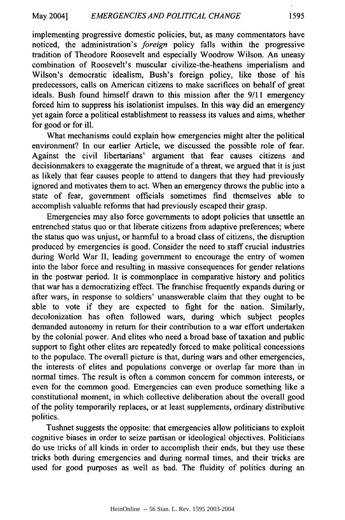implementing progressive domestic policies, but, as many commentators have noticed, the administration's *foreign* policy falls within the progressive tradition of Theodore Roosevelt and especially Woodrow Wilson. An uneasy combination of Roosevelt's muscular civilize-the-heathens imperialism and Wilson's democratic idealism, Bush's foreign policy, like those of his predecessors, calls on American citizens to make sacrifices on behalf of great ideals. Bush found himself drawn to this mission after the 9/11 emergency forced him to suppress his isolationist impulses. In this way did an emergency yet again force a political establishment to reassess its values and aims, whether for good or for ill.

What mechanisms could explain how emergencies might alter the political environment? In our earlier Article, we discussed the possible role of fear. Against the civil libertarians' argument that fear causes citizens and decisionmakers to exaggerate the magnitude of a threat, we argued that it is just as likely that fear causes people to attend to dangers that they had previously ignored and motivates them to act. When an emergency throws the public into a state of fear, government officials sometimes find themselves able to accomplish valuable reforms that had previously escaped their grasp.

Emergencies may also force governments to adopt policies that unsettle an entrenched status quo or that liberate citizens from adaptive preferences; where the status quo was unjust, or harmful to a broad class of citizens, the disruption produced by emergencies is good. Consider the need to staff crucial industries during World War II, leading government to encourage the entry of women into the labor force and resulting in massive consequences for gender relations in the postwar period. It is commonplace in comparative history and politics that war has a democratizing effect. The franchise frequently expands during or after wars, in response to soldiers' unanswerable claim that they ought to be able to vote if they are expected to fight for the nation. Similarly, decolonization has often followed wars, during which subject peoples demanded autonomy in return for their contribution to a war effort undertaken by the colonial power. And elites who need a broad base of taxation and public support to fight other elites are repeatedly forced to make political concessions to the populace. The overall picture is that, during wars and other emergencies, the interests of elites and populations converge or overlap far more than in normal times. The result is often a common concern for common interests, or even for the common good. Emergencies can even produce something like a constitutional moment, in which collective deliberation about the overall good of the polity temporarily replaces, or at least supplements, ordinary distributive politics.

Tushnet suggests the opposite: that emergencies allow politicians to exploit cognitive biases in order to seize partisan or ideological objectives. Politicians do use tricks of all kinds in order to accomplish their ends, but they use these tricks both during emergencies and during normal times, and their tricks are used for good purposes as well as bad. The fluidity of politics during an